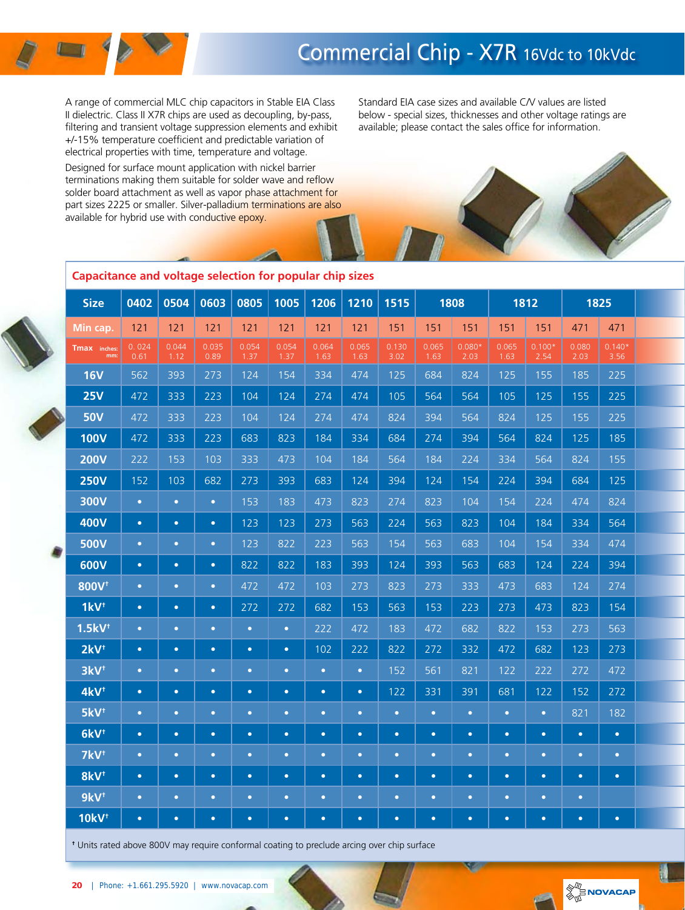# Commercial Chip - X7R 16Vdc to 10kVdc

A range of commercial MLC chip capacitors in Stable EIA Class II dielectric. Class II X7R chips are used as decoupling, by-pass, filtering and transient voltage suppression elements and exhibit +/-15% temperature coefficient and predictable variation of electrical properties with time, temperature and voltage.

Designed for surface mount application with nickel barrier terminations making them suitable for solder wave and reflow solder board attachment as well as vapor phase attachment for part sizes 2225 or smaller. Silver-palladium terminations are also available for hybrid use with conductive epoxy.

Standard EIA case sizes and available C/V values are listed below - special sizes, thicknesses and other voltage ratings are available; please contact the sales office for information.



|   | <b>Size</b>             | 0402          | 0504          | 0603          | 0805          | 1005          | 1206          | 1210          | 1515          |               | 1808             |               | 1812             |               | 1825             |  |
|---|-------------------------|---------------|---------------|---------------|---------------|---------------|---------------|---------------|---------------|---------------|------------------|---------------|------------------|---------------|------------------|--|
|   | Min cap.                | 121           | 121           | 121           | $121$         | $121$         | 121           | 121           | 151           | 151           | 151              | 151           | 151              | 471           | 471              |  |
|   | Tmax inches:<br>mm:     | 0.024<br>0.61 | 0.044<br>1.12 | 0.035<br>0.89 | 0.054<br>1.37 | 0.054<br>1.37 | 0.064<br>1.63 | 0.065<br>1.63 | 0.130<br>3.02 | 0.065<br>1.63 | $0.080*$<br>2.03 | 0.065<br>1.63 | $0.100*$<br>2.54 | 0.080<br>2.03 | $0.140*$<br>3.56 |  |
|   | <b>16V</b>              | 562           | 393           | 273           | 124           | 154           | 334           | 474           | 125           | 684           | 824              | 125           | 155              | 185           | 225              |  |
|   | <b>25V</b>              | 472           | 333           | 223           | 104           | 124           | 274           | 474           | 105           | 564           | 564              | 105           | 125              | 155           | 225              |  |
|   | <b>50V</b>              | 472           | 333           | 223           | 104           | 124           | 274           | 474           | 824           | 394           | 564              | 824           | 125              | 155           | 225              |  |
|   | <b>100V</b>             | 472           | 333           | 223           | 683           | 823           | 184           | 334           | 684           | 274           | 394              | 564           | 824              | 125           | 185              |  |
|   | <b>200V</b>             | 222           | 153           | 103           | 333           | 473           | 104           | 184           | 564           | 184           | 224              | 334           | 564              | 824           | 155              |  |
|   | <b>250V</b>             | 152           | 103           | 682           | 273           | 393           | 683           | 124           | 394           | 124           | 154              | 224           | 394              | 684           | 125              |  |
|   | <b>300V</b>             | $\bullet$     | $\bullet$     | $\bullet$     | 153           | 183           | 473           | 823           | 274           | 823           | 104              | 154           | 224              | 474           | 824              |  |
|   | <b>400V</b>             | $\bullet$     | $\bullet$     | $\bullet$     | 123           | 123           | 273           | 563           | 224           | 563           | 823              | 104           | 184              | 334           | 564              |  |
| Ñ | <b>500V</b>             | $\bullet$     | $\bullet$     | $\bullet$     | 123           | 822           | 223           | 563           | 154           | 563           | 683              | 104           | 154              | 334           | 474              |  |
|   | 600V                    | $\bullet$     | $\bullet$     | $\bullet$     | 822           | 822           | 183           | 393           | 124           | 393           | 563              | 683           | 124              | 224           | 394              |  |
|   | 800V <sup>+</sup>       | $\bullet$     | $\bullet$     | $\bullet$     | 472           | 472           | 103           | 273           | 823           | 273           | 333              | 473           | 683              | 124           | 274              |  |
|   | $1kV^+$                 | $\bullet$     | $\bullet$     | $\bullet$     | 272           | 272           | 682           | 153           | 563           | 153           | 223              | 273           | 473              | 823           | 154              |  |
|   | $1.5kV$ <sup>t</sup>    | $\bullet$     | $\bullet$     | $\bullet$     | $\bullet$     | $\bullet$     | 222           | 472           | 183           | 472           | 682              | 822           | 153              | 273           | 563              |  |
|   | $2kV^{\dagger}$         | $\bullet$     | $\bullet$     | $\bullet$     | $\bullet$     | $\bullet$     | 102           | 222           | 822           | 272           | 332              | 472           | 682              | 123           | 273              |  |
|   | 3kV <sup>t</sup>        | $\bullet$     | $\bullet$     | $\bullet$     | $\bullet$     | $\bullet$     | $\bullet$     | $\bullet$     | 152           | 561           | 821              | 122           | 222              | 272           | 472              |  |
|   | 4kV <sup>t</sup>        | $\bullet$     | $\bullet$     | $\bullet$     | $\bullet$     | $\bullet$     | $\bullet$     | $\bullet$     | 122           | 331           | 391              | 681           | 122              | 152           | 272              |  |
|   | 5kV <sup>t</sup>        | $\bullet$     | $\bullet$     | $\bullet$     | $\bullet$     | $\bullet$     | $\bullet$     | $\bullet$     | $\bullet$     | $\bullet$     | $\bullet$        | $\bullet$     | $\bullet$        | 821           | 182              |  |
|   | 6kV <sup>t</sup>        | $\bullet$     | $\bullet$     | $\bullet$     | $\bullet$     | $\bullet$     | $\bullet$     | $\bullet$     | $\bullet$     | $\bullet$     | $\bullet$        | $\bullet$     | $\bullet$        | $\bullet$     | $\bullet$        |  |
|   | 7kV <sup>t</sup>        | $\bullet$     | $\bullet$     | $\bullet$     | $\bullet$     | $\bullet$     | $\bullet$     | $\bullet$     | $\bullet$     | $\bullet$     | $\bullet$        | $\bullet$     | $\bullet$        | $\bullet$     | $\bullet$        |  |
|   | 8kV <sup>t</sup>        | $\bullet$     | $\bullet$     | $\bullet$     | $\bullet$     | $\bullet$     | $\bullet$     | $\bullet$     | $\bullet$     | $\bullet$     | $\bullet$        | $\bullet$     | $\bullet$        | $\bullet$     | $\bullet$        |  |
|   | $9kV^{\dagger}$         | $\bullet$     | $\bullet$     | $\bullet$     | $\bullet$     | $\bullet$     | $\bullet$     | $\bullet$     | $\bullet$     | $\bullet$     | $\bullet$        | $\bullet$     | $\bullet$        | $\bullet$     |                  |  |
|   | <b>10kV<sup>+</sup></b> | $\bullet$     | $\bullet$     | $\bullet$     | $\bullet$     | $\bullet$     | $\bullet$     | $\bullet$     | $\bullet$     | $\bullet$     | $\bullet$        | $\bullet$     | $\bullet$        | $\bullet$     | $\bullet$        |  |

#### **Capacitance and voltage selection for popular chip sizes**

**†** Units rated above 800V may require conformal coating to preclude arcing over chip surface

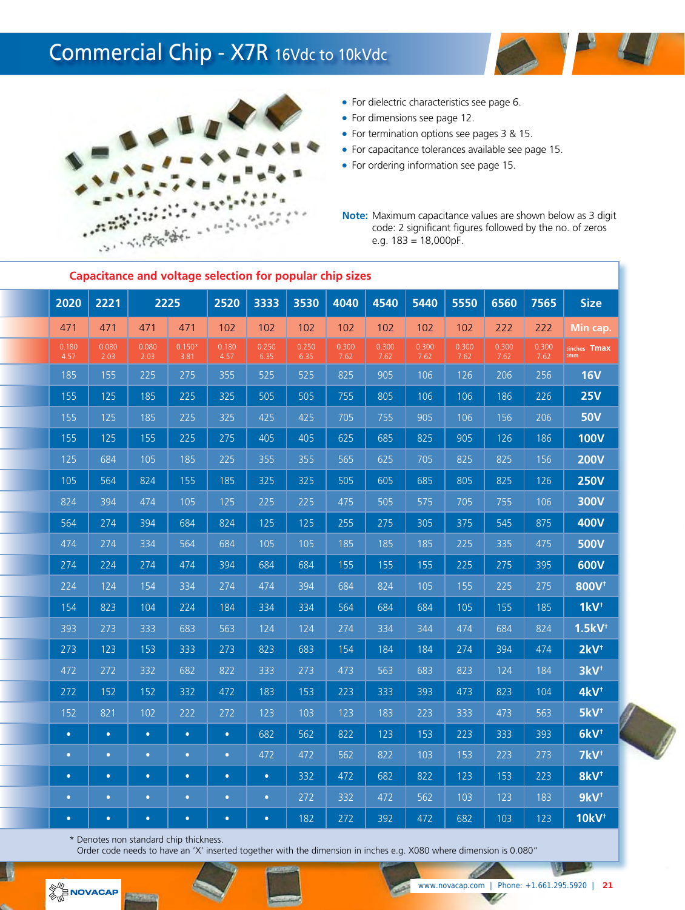### Commercial Chip - X7R 16Vdc to 10kVdc





- For dielectric characteristics see page 6.
- For dimensions see page 12.
- For termination options see pages 3 & 15.
- For capacitance tolerances available see page 15.
- For ordering information see page 15.

**Note:** Maximum capacitance values are shown below as 3 digit code: 2 significant figures followed by the no. of zeros e.g. 183 = 18,000pF.

|               | Capacitante and voitage selection for popular chip sizes |               |                  |               |               |               |               |               |               |               |               |               |                         |
|---------------|----------------------------------------------------------|---------------|------------------|---------------|---------------|---------------|---------------|---------------|---------------|---------------|---------------|---------------|-------------------------|
| 2020          | 2221                                                     |               | 2225             | 2520          | 3333          | 3530          | 4040          | 4540          | 5440          | 5550          | 6560          | 7565          | <b>Size</b>             |
| 471           | 471                                                      | 471           | 471              | 102           | 102           | 102           | 102           | 102           | 102           | 102           | 222           | 222           | Min cap.                |
| 0.180<br>4.57 | 0.080<br>2.03                                            | 0.080<br>2.03 | $0.150*$<br>3.81 | 0.180<br>4.57 | 0.250<br>6.35 | 0.250<br>6.35 | 0.300<br>7.62 | 0.300<br>7.62 | 0.300<br>7.62 | 0.300<br>7.62 | 0.300<br>7.62 | 0.300<br>7.62 | inches Tmax<br>mm.      |
| 185           | 155                                                      | 225           | 275              | 355           | 525           | 525           | 825           | 905           | 106           | 126           | 206           | 256           | <b>16V</b>              |
| 155           | 125                                                      | 185           | 225              | 325           | 505           | 505           | 755           | 805           | 106           | 106           | 186           | 226           | <b>25V</b>              |
| 155           | 125                                                      | 185           | 225              | 325           | 425           | 425           | 705           | 755           | 905           | 106           | 156           | 206           | <b>50V</b>              |
| 155           | 125                                                      | 155           | 225              | 275           | 405           | 405           | 625           | 685           | 825           | 905           | 126           | 186           | <b>100V</b>             |
| 125           | 684                                                      | 105           | 185              | 225           | 355           | 355           | 565           | 625           | 705           | 825           | 825           | 156           | <b>200V</b>             |
| 105           | 564                                                      | 824           | 155              | 185           | 325           | 325           | 505           | 605           | 685           | 805           | 825           | 126           | <b>250V</b>             |
| 824           | 394                                                      | 474           | 105              | 125           | 225           | 225           | 475           | 505           | 575           | 705           | 755           | 106           | 300V                    |
| 564           | 274                                                      | 394           | 684              | 824           | 125           | 125           | 255           | 275           | 305           | 375           | 545           | 875           | <b>400V</b>             |
| 474           | 274                                                      | 334           | 564              | 684           | 105           | 105           | 185           | 185           | 185           | 225           | 335           | 475           | <b>500V</b>             |
| 274           | 224                                                      | 274           | 474              | 394           | 684           | 684           | 155           | 155           | 155           | 225           | 275           | 395           | 600V                    |
| 224           | 124                                                      | 154           | 334              | 274           | 474           | 394           | 684           | 824           | $\boxed{105}$ | 155           | 225           | 275           | 800V <sup>+</sup>       |
| 154           | 823                                                      | 104           | 224              | 184           | 334           | 334           | 564           | 684           | 684           | 105           | 155           | 185           | $1kV^{\dagger}$         |
| 393           | 273                                                      | 333           | 683              | 563           | 124           | 124           | 274           | 334           | 344           | 474           | 684           | 824           | $1.5kV$ <sup>t</sup>    |
| 273           | 123                                                      | 153           | 333              | 273           | 823           | 683           | 154           | 184           | 184           | 274           | 394           | 474           | $2kV^{\dagger}$         |
| 472           | 272                                                      | 332           | 682              | 822           | 333           | 273           | 473           | 563           | 683           | 823           | 124           | 184           | 3kV <sup>t</sup>        |
| 272           | 152                                                      | 152           | 332              | 472           | 183           | 153           | 223           | 333           | 393           | 473           | 823           | 104           | 4kV <sup>t</sup>        |
| 152           | 821                                                      | 102           | 222              | 272           | 123           | 103           | 123           | 183           | 223           | 333           | 473           | 563           | $5kV^{\dagger}$         |
| $\bullet$     | $\bullet$                                                | $\bullet$     | $\bullet$        | $\bullet$     | 682           | 562           | 822           | 123           | 153           | 223           | 333           | 393           | $6kV^{\dagger}$         |
| $\bullet$     | $\bullet$                                                | $\bullet$     | $\bullet$        | $\bullet$     | 472           | 472           | 562           | 822           | 103           | 153           | 223           | 273           | 7kV <sup>t</sup>        |
| $\bullet$     | $\bullet$                                                | $\bullet$     | $\bullet$        | $\bullet$     | $\bullet$     | 332           | 472           | 682           | 822           | 123           | 153           | 223           | 8kV <sup>t</sup>        |
| $\bullet$     | $\bullet$                                                | $\bullet$     | $\bullet$        | $\bullet$     | $\bullet$     | 272           | 332           | 472           | 562           | 103           | 123           | 183           | $9kV^{\dagger}$         |
| $\bullet$     | $\bullet$                                                | $\bullet$     | $\bullet$        | $\bullet$     | $\bullet$     | 182           | 272           | 392           | 472           | 682           | 103           | 123           | <b>10kV<sup>+</sup></b> |

**Capacitance and voltage selection for popular chip sizes**

\* Denotes non standard chip thickness.

Order code needs to have an 'X' inserted together with the dimension in inches e.g. X080 where dimension is 0.080"



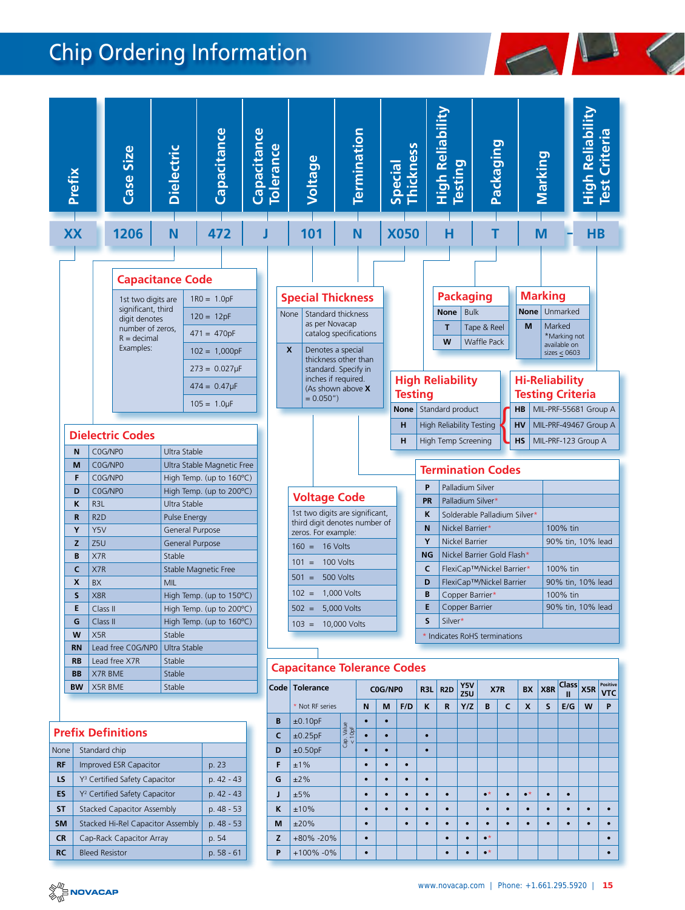## Chip Ordering Information





#### **Prefix Definitions**

| <b>None</b> | Standard chip                             |             |
|-------------|-------------------------------------------|-------------|
| <b>RF</b>   | <b>Improved ESR Capacitor</b>             | p. 23       |
| LS          | Y <sup>3</sup> Certified Safety Capacitor | $p.42 - 43$ |
| ES          | Y <sup>2</sup> Certified Safety Capacitor | $p.42 - 43$ |
| <b>ST</b>   | <b>Stacked Capacitor Assembly</b>         | p. 48 - 53  |
| <b>SM</b>   | Stacked Hi-Rel Capacitor Assembly         | p. 48 - 53  |
| <b>CR</b>   | Cap-Rack Capacitor Array                  | p. 54       |
| <b>RC</b>   | <b>Bleed Resistor</b>                     | $p.58 - 61$ |

| Code         | <b>Tolerance</b> |                      | C0G/NP0   |           | R3L       | R <sub>2</sub> D | YJV<br>Z5U  | X7R       |                   | <b>BX</b>    | X8R               | казэ<br>Ш | X5R       | <b>LOSINAL</b><br><b>VTC</b> |           |
|--------------|------------------|----------------------|-----------|-----------|-----------|------------------|-------------|-----------|-------------------|--------------|-------------------|-----------|-----------|------------------------------|-----------|
|              | * Not RF series  |                      | N         | M         | F/D       | K                | $\mathbf R$ | Y/Z       | B                 | $\mathsf{C}$ | X                 | S         | E/G       | W                            | P         |
| B            | ±0.10pF          |                      |           | $\bullet$ |           |                  |             |           |                   |              |                   |           |           |                              |           |
| $\mathsf{C}$ | ±0.25pF          | Cap. Value<br>< 10pF | $\bullet$ | $\bullet$ |           | $\bullet$        |             |           |                   |              |                   |           |           |                              |           |
| D            | ±0.50pF          |                      | $\bullet$ | $\bullet$ |           | $\bullet$        |             |           |                   |              |                   |           |           |                              |           |
| F            | ±1%              |                      | $\bullet$ | $\bullet$ | $\bullet$ |                  |             |           |                   |              |                   |           |           |                              |           |
| G            | ±2%              |                      | $\bullet$ | $\bullet$ | $\bullet$ | $\bullet$        |             |           |                   |              |                   |           |           |                              |           |
| J            | ±5%              |                      | $\bullet$ | $\bullet$ | $\bullet$ | $\bullet$        | $\bullet$   |           | $\bullet^{\star}$ |              | $\bullet^{\star}$ | $\bullet$ | $\bullet$ |                              |           |
| K            | ±10%             |                      | $\bullet$ | $\bullet$ |           | $\bullet$        | $\bullet$   |           | $\bullet$         |              | $\bullet$         | $\bullet$ | $\bullet$ | $\bullet$                    |           |
| M            | ±20%             |                      | $\bullet$ |           | $\bullet$ | $\bullet$        | $\bullet$   | $\bullet$ | $\bullet$         |              | $\bullet$         | $\bullet$ | $\bullet$ | $\bullet$                    | $\bullet$ |
| Z            | +80% -20%        |                      | $\bullet$ |           |           |                  | $\bullet$   | $\bullet$ | $\bullet^{\star}$ |              |                   |           |           |                              | $\bullet$ |
| P            | +100% -0%        |                      | $\bullet$ |           |           |                  | $\bullet$   | $\bullet$ | $\bullet^{\star}$ |              |                   |           |           |                              | $\bullet$ |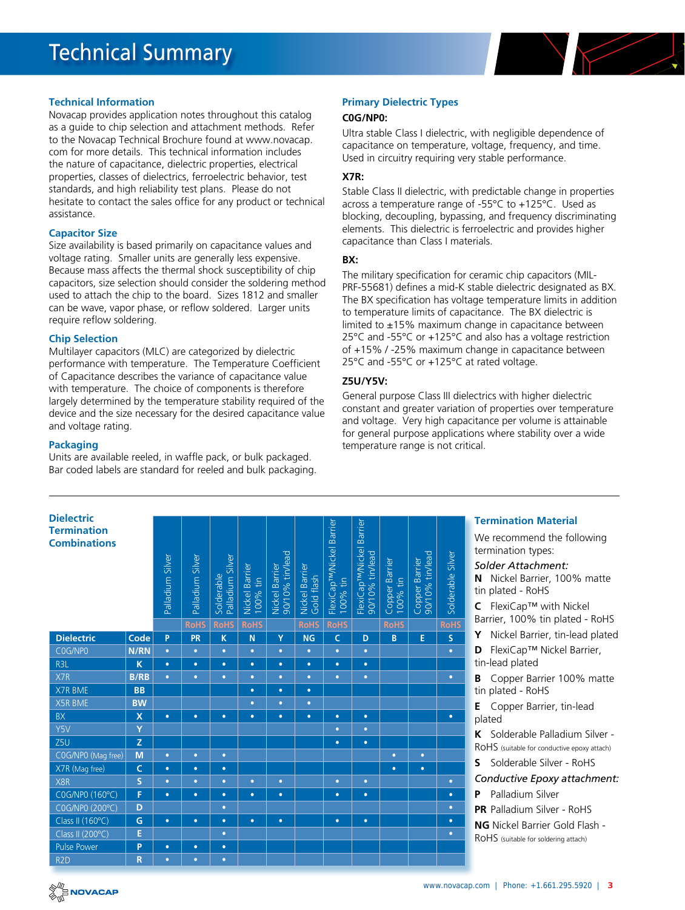

#### **Technical Information**

Novacap provides application notes throughout this catalog as a guide to chip selection and attachment methods. Refer to the Novacap Technical Brochure found at www.novacap. com for more details. This technical information includes the nature of capacitance, dielectric properties, electrical properties, classes of dielectrics, ferroelectric behavior, test standards, and high reliability test plans. Please do not hesitate to contact the sales office for any product or technical assistance.

#### **Capacitor Size**

Size availability is based primarily on capacitance values and voltage rating. Smaller units are generally less expensive. Because mass affects the thermal shock susceptibility of chip capacitors, size selection should consider the soldering method used to attach the chip to the board. Sizes 1812 and smaller can be wave, vapor phase, or reflow soldered. Larger units require reflow soldering.

#### **Chip Selection**

Multilayer capacitors (MLC) are categorized by dielectric performance with temperature. The Temperature Coefficient of Capacitance describes the variance of capacitance value with temperature. The choice of components is therefore largely determined by the temperature stability required of the device and the size necessary for the desired capacitance value and voltage rating.

#### **Packaging**

Units are available reeled, in waffle pack, or bulk packaged. Bar coded labels are standard for reeled and bulk packaging.

#### **Primary Dielectric Types**

#### **C0G/NP0:**

Ultra stable Class I dielectric, with negligible dependence of capacitance on temperature, voltage, frequency, and time. Used in circuitry requiring very stable performance.

#### **X7R:**

Stable Class II dielectric, with predictable change in properties across a temperature range of -55°C to +125°C. Used as blocking, decoupling, bypassing, and frequency discriminating elements. This dielectric is ferroelectric and provides higher capacitance than Class I materials.

#### **BX:**

The military specification for ceramic chip capacitors (MIL-PRF-55681) defines a mid-K stable dielectric designated as BX. The BX specification has voltage temperature limits in addition to temperature limits of capacitance. The BX dielectric is limited to  $\pm$ 15% maximum change in capacitance between 25°C and -55°C or +125°C and also has a voltage restriction of +15% / -25% maximum change in capacitance between 25°C and -55°C or +125°C at rated voltage.

#### **Z5U/Y5V:**

General purpose Class III dielectrics with higher dielectric constant and greater variation of properties over temperature and voltage. Very high capacitance per volume is attainable for general purpose applications where stability over a wide temperature range is not critical.

| <b>Dielectric</b><br><b>Termination</b><br><b>Combinations</b> |                         |                  |                  |                                |                            |                                   |                              |                                                    | Barrier                                           |                            |                                   |                   | <b>Termi</b><br>We re                                         |
|----------------------------------------------------------------|-------------------------|------------------|------------------|--------------------------------|----------------------------|-----------------------------------|------------------------------|----------------------------------------------------|---------------------------------------------------|----------------------------|-----------------------------------|-------------------|---------------------------------------------------------------|
|                                                                |                         | Palladium Silver | Palladium Silver | Palladium Silver<br>Solderable | Nickel Barrier<br>100% tin | Nickel Barrier<br>90/10% tin/lead | Nickel Barrier<br>Gold flash | FlexiCap <sup>TM</sup> /Nickel Barrier<br>100% tin | FlexiCap <sup>TM</sup> /Nickel<br>90/10% tin/lead | Copper Barrier<br>100% tin | Copper Barrier<br>90/10% tin/lead | Solderable Silver | termin<br>Solde<br>Nio<br>N<br>tin pla<br>Fle<br>$\mathsf{C}$ |
|                                                                |                         |                  | <b>RoHS</b>      | <b>RoHS</b>                    | <b>RoHS</b>                |                                   | <b>RoHS</b>                  | <b>RoHS</b>                                        |                                                   | <b>RoHS</b>                |                                   | <b>RoHS</b>       | Barrier<br>Y                                                  |
| <b>Dielectric</b>                                              | Code                    | P                | <b>PR</b>        | $\mathsf K$                    | N                          | Ÿ                                 | <b>NG</b>                    | $\mathsf{C}$                                       | D                                                 | B                          | E                                 | S.                | Nio                                                           |
| C0G/NP0                                                        | N/RN                    | $\bullet$        | $\bullet$        | $\bullet$                      | $\bullet$                  | $\bullet$                         | $\bullet$                    | $\bullet$                                          | $\bullet$                                         |                            |                                   | $\bullet$         | Fle<br>D                                                      |
| R <sub>3</sub> L                                               | K                       | $\bullet$        | $\bullet$        | $\bullet$                      | $\bullet$                  | $\bullet$                         | $\bullet$                    | $\bullet$                                          | $\bullet$                                         |                            |                                   |                   | tin-lea                                                       |
| X7R                                                            | <b>B/RB</b>             | $\bullet$        | $\bullet$        | $\bullet$                      | $\bullet$                  | $\bullet$                         | $\bullet$                    | $\bullet$                                          | $\bullet$                                         |                            |                                   | $\bullet$         | Co<br>B                                                       |
| X7R BME                                                        | <b>BB</b>               |                  |                  |                                | $\bullet$                  | $\bullet$                         | $\bullet$                    |                                                    |                                                   |                            |                                   |                   | tin pla                                                       |
| <b>X5R BME</b>                                                 | <b>BW</b>               |                  |                  |                                | $\bullet$                  | $\bullet$                         | $\bullet$                    |                                                    |                                                   |                            |                                   |                   | Co<br>E                                                       |
| BX                                                             | $\mathsf{x}$            | $\bullet$        | $\bullet$        | $\bullet$                      | $\bullet$                  | $\bullet$                         | $\bullet$                    | $\bullet$                                          | $\bullet$                                         |                            |                                   | $\bullet$         | plated                                                        |
| Y5V                                                            | Ÿ                       |                  |                  |                                |                            |                                   |                              | $\bullet$                                          | $\bullet$                                         |                            |                                   |                   | K<br>So                                                       |
| Z <sub>5U</sub>                                                | Z                       |                  |                  |                                |                            |                                   |                              | $\bullet$                                          | $\bullet$                                         |                            |                                   |                   | RoHS                                                          |
| COG/NPO (Mag free)                                             | M                       | $\bullet$        | $\bullet$        | $\bullet$                      |                            |                                   |                              |                                                    |                                                   | $\bullet$                  | $\bullet$                         |                   |                                                               |
| X7R (Mag free)                                                 | $\mathsf{C}$            | $\bullet$        | $\bullet$        | $\bullet$                      |                            |                                   |                              |                                                    |                                                   | $\bullet$                  | $\bullet$                         |                   | $\mathsf{s}$<br>So                                            |
| X8R                                                            | $\overline{\mathsf{S}}$ | $\bullet$        | ٠                | $\bullet$                      | $\bullet$                  | $\bullet$                         |                              | $\bullet$                                          | $\bullet$                                         |                            |                                   | $\bullet$         | Condu                                                         |
| C0G/NP0 (160°C)                                                | F                       | $\bullet$        | $\bullet$        | $\bullet$                      | $\bullet$                  | $\bullet$                         |                              | $\bullet$                                          | $\bullet$                                         |                            |                                   | $\bullet$         | Pal<br>P                                                      |
| C0G/NP0 (200°C)                                                | D                       |                  |                  | $\bullet$                      |                            |                                   |                              |                                                    |                                                   |                            |                                   | $\bullet$         | PR Pal                                                        |
| Class II (160°C)                                               | G                       | $\bullet$        | $\bullet$        | $\bullet$                      | $\bullet$                  | $\bullet$                         |                              | $\bullet$                                          | $\bullet$                                         |                            |                                   | $\bullet$         | NG Ni                                                         |
| Class II (200°C)                                               | E                       |                  |                  | $\bullet$                      |                            |                                   |                              |                                                    |                                                   |                            |                                   | $\bullet$         | RoHS                                                          |
| <b>Pulse Power</b>                                             | P                       | $\bullet$        | $\bullet$        | $\bullet$                      |                            |                                   |                              |                                                    |                                                   |                            |                                   |                   |                                                               |
| R <sub>2</sub> D                                               | $\mathsf{R}$            | $\bullet$        | $\bullet$        | $\bullet$                      |                            |                                   |                              |                                                    |                                                   |                            |                                   |                   |                                                               |

#### **Termination Material**

commend the following ation types:

#### *Solder Attachment:*

**N** Nickel Barrier, 100% matte ted - RoHS

**EX** FLEXICap™ with Nickel

r, 100% tin plated - RoHS

ckel Barrier, tin-lead plated

**ExiCap™ Nickel Barrier,** d plated

**B** Copper Barrier 100% matte ted - RoHS

**E** Copper Barrier, tin-lead plated

**Kalladium Silver -**(suitable for conductive epoxy attach)

**Iderable Silver - RoHS** 

*Conductive Epoxy attachment:*

**P** Palladium Silver

**PR** Palladium Silver - RoHS **NG** Nickel Barrier Gold Flash -

(suitable for soldering attach)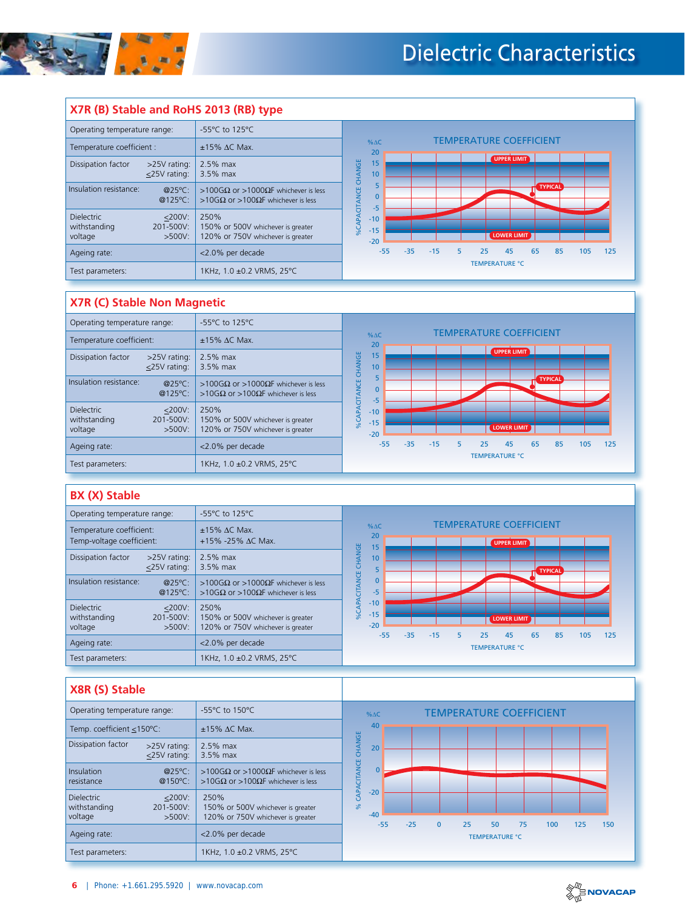

#### **X7R (B) Stable and RoHS 2013 (RB) type** Operating temperature range: 155 °C to 125 °C TEMPERATURE COEFFICIENT % $\Delta C$ Temperature coefficient :  $\left| \begin{array}{c} \pm 15\% \Delta C \end{array} \right|$  Max. 20 15 **UPPER LIMIT** Dissipation factor >25V rating: 2.5% max **%CAPACITANCE CHANGE** %CAPACITANCE CHANGE  $\leq$ 25V rating: 3.5% max 10 5 Insulation resistance: @25ºC: >100G $\Omega$  or >1000 $\Omega$ F whichever is less **TYPICAL** 0 @125ºC: >10G $\Omega$  or >100 $\Omega$ F whichever is less -5 250% Dielectric 
settlem in the settlem of the settlem and the settlem in the settlem in the settlem in the settlem in the settlem in the settlem in the settlem in the settlem in the settlem in the settlem in the settlem in the -10 withstanding<br>voltage 150% or 500V whichever is greater -15 120% or 750V whichever is greater  $>500V$ : **LOWER LIMIT** -20 Ageing rate:  $|$  <2.0% per decade -55 -35 -15 5 25 45 65 85 105 125 TEMPERATURE °C Test parameters: 1KHz, 1.0 ±0.2 VRMS, 25°C

#### **X7R (C) Stable Non Magnetic**

| Operating temperature range:                                                        | -55°C to 125°C                                                                 |                                                                    |  |  |  |  |  |  |
|-------------------------------------------------------------------------------------|--------------------------------------------------------------------------------|--------------------------------------------------------------------|--|--|--|--|--|--|
| Temperature coefficient:                                                            | $±15\%$ AC Max.                                                                | <b>TEMPERATURE COEFFICIENT</b><br>$% \Delta C$<br>20               |  |  |  |  |  |  |
| Dissipation factor<br>>25V rating:<br><25V rating:                                  | 2.5% max<br>3.5% max                                                           | UPPER LIMIT<br>CHANGE<br>15<br>10                                  |  |  |  |  |  |  |
| Insulation resistance:<br>@25°C:<br>@125°C:                                         | >100GΩ or >1000ΩF whichever is less<br>>10GΩ or >100ΩF whichever is less       | <b>TYPICAL</b><br><b>TANCE</b><br>$\mathbf 0$<br>$-5$              |  |  |  |  |  |  |
| <b>Dielectric</b><br>$<$ 200V:<br>withstanding<br>201-500V:<br>voltage<br>$>500V$ : | 250%<br>150% or 500V whichever is greater<br>120% or 750V whichever is greater | %CAPA<br>$-10$<br>$-15$<br><b>LOWER LIMIT</b><br>$-20$             |  |  |  |  |  |  |
| Ageing rate:                                                                        | <2.0% per decade                                                               | $-55$<br>$-35$<br>5<br>25<br>65<br>85<br>105<br>125<br>$-15$<br>45 |  |  |  |  |  |  |
| Test parameters:                                                                    | 1KHz, 1.0 ±0.2 VRMS, 25°C                                                      | <b>TEMPERATURE °C</b>                                              |  |  |  |  |  |  |

#### **BX (X) Stable**

| Operating temperature range:                                                        | -55 $\degree$ C to 125 $\degree$ C                                             |                                                                              |
|-------------------------------------------------------------------------------------|--------------------------------------------------------------------------------|------------------------------------------------------------------------------|
| Temperature coefficient:<br>Temp-voltage coefficient:                               | $±15\%$ AC Max.<br>$+15\% -25\%$ AC Max.                                       | <b>TEMPERATURE COEFFICIENT</b><br>$% \triangle C$<br>20<br>UPPER LIMIT<br>15 |
| Dissipation factor<br>>25V rating:<br><25V rating:                                  | 2.5% max<br>3.5% max                                                           | CHANGE<br>10<br><b>TYPICAL</b>                                               |
| Insulation resistance:<br>@25°C:<br>@125°C:                                         | >100GΩ or >1000ΩF whichever is less<br>>10GΩ or >100ΩF whichever is less       | <b>ITANCE</b><br>$\mathbf{0}$<br>$-5$                                        |
| <b>Dielectric</b><br>$<$ 200V:<br>withstanding<br>201-500V:<br>voltage<br>$>500V$ : | 250%<br>150% or 500V whichever is greater<br>120% or 750V whichever is greater | $-10$<br>%CAPA<br>$-15$<br><b>LOWER LIMIT</b><br>$-20$<br>$-35$<br>85<br>45  |
| Ageing rate:                                                                        | <2.0% per decade                                                               | $-55$<br>$-15$<br>105<br>125<br>5<br>25<br>65<br><b>TEMPERATURE °C</b>       |
| Test parameters:                                                                    | 1KHz, 1.0 ±0.2 VRMS, 25°C                                                      |                                                                              |

### **X8R (S) Stable**

| -55 $\degree$ C to 150 $\degree$ C<br>Operating temperature range: |                                                                                                                           |                                                                          |                                  |       |       |              |    |                       | <b>TEMPERATURE COEFFICIENT</b> |     |     |     |  |
|--------------------------------------------------------------------|---------------------------------------------------------------------------------------------------------------------------|--------------------------------------------------------------------------|----------------------------------|-------|-------|--------------|----|-----------------------|--------------------------------|-----|-----|-----|--|
| Temp. coefficient <150°C:                                          |                                                                                                                           | $±15\%$ $\Delta$ C Max.                                                  | 40                               |       |       |              |    |                       |                                |     |     |     |  |
| Dissipation factor                                                 | >25V rating:<br><25V rating:                                                                                              | 2.5% max<br>3.5% max                                                     | 20                               |       |       |              |    |                       |                                |     |     |     |  |
| Insulation<br>@25°C:<br>@150°C:<br>resistance                      |                                                                                                                           | >100GΩ or >1000ΩF whichever is less<br>>10GΩ or >100ΩF whichever is less | % CAPACITANCE CHANGE<br>$\Omega$ |       |       |              |    |                       |                                |     |     |     |  |
| <b>Dielectric</b><br>withstanding<br>voltage                       | $<$ 200 $V$ :<br>250%<br>201-500V:<br>150% or 500V whichever is greater<br>$>500V$ :<br>120% or 750V whichever is greater |                                                                          | $-20$<br>$-40$                   |       |       |              |    | 50                    |                                |     |     |     |  |
| Ageing rate:                                                       |                                                                                                                           | <2.0% per decade                                                         |                                  | $-55$ | $-25$ | $\mathbf{0}$ | 25 | <b>TEMPERATURE °C</b> | 75                             | 100 | 125 | 150 |  |
| Test parameters:                                                   |                                                                                                                           | 1KHz, 1.0 ±0.2 VRMS, 25°C                                                |                                  |       |       |              |    |                       |                                |     |     |     |  |

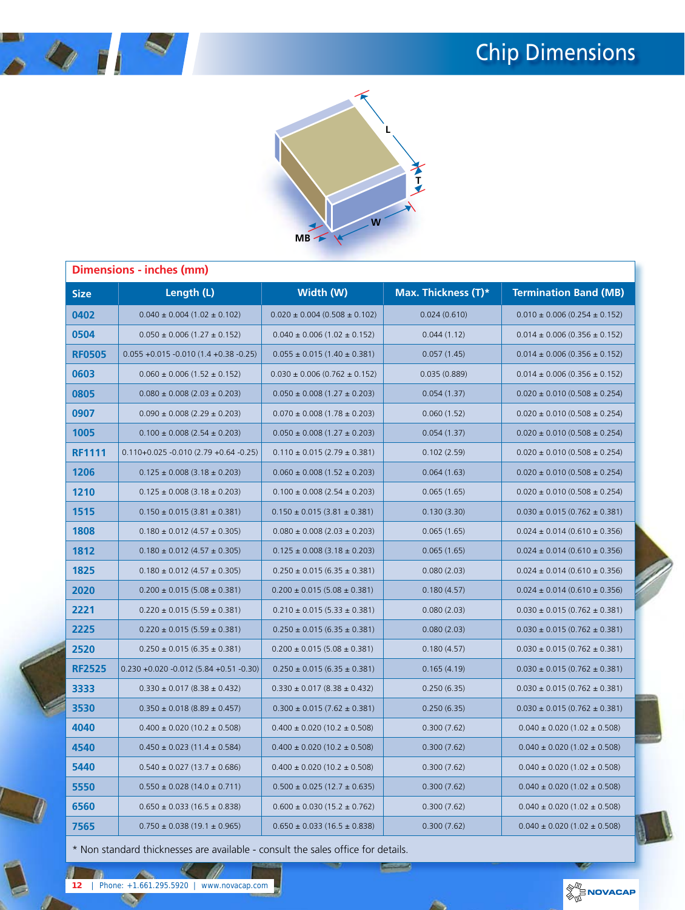# Chip Dimensions





|               | Dimensions - inches (mm)                     |                                       |                     |                                       |  |
|---------------|----------------------------------------------|---------------------------------------|---------------------|---------------------------------------|--|
| <b>Size</b>   | Length (L)                                   | Width (W)                             | Max. Thickness (T)* | <b>Termination Band (MB)</b>          |  |
| 0402          | $0.040 \pm 0.004$ (1.02 $\pm$ 0.102)         | $0.020 \pm 0.004$ (0.508 $\pm$ 0.102) | 0.024(0.610)        | $0.010 \pm 0.006$ (0.254 $\pm$ 0.152) |  |
| 0504          | $0.050 \pm 0.006$ (1.27 $\pm$ 0.152)         | $0.040 \pm 0.006$ (1.02 $\pm$ 0.152)  | 0.044(1.12)         | $0.014 \pm 0.006$ (0.356 $\pm$ 0.152) |  |
| <b>RF0505</b> | $0.055 + 0.015 - 0.010(1.4 + 0.38 - 0.25)$   | $0.055 \pm 0.015 (1.40 \pm 0.381)$    | 0.057(1.45)         | $0.014 \pm 0.006$ (0.356 $\pm$ 0.152) |  |
| 0603          | $0.060 \pm 0.006$ (1.52 $\pm$ 0.152)         | $0.030 \pm 0.006$ (0.762 $\pm$ 0.152) | 0.035(0.889)        | $0.014 \pm 0.006$ (0.356 $\pm$ 0.152) |  |
| 0805          | $0.080 \pm 0.008$ (2.03 $\pm$ 0.203)         | $0.050 \pm 0.008$ (1.27 $\pm$ 0.203)  | 0.054(1.37)         | $0.020 \pm 0.010 (0.508 \pm 0.254)$   |  |
| 0907          | $0.090 \pm 0.008$ (2.29 $\pm$ 0.203)         | $0.070 \pm 0.008$ (1.78 $\pm$ 0.203)  | 0.060(1.52)         | $0.020 \pm 0.010 (0.508 \pm 0.254)$   |  |
| 1005          | $0.100 \pm 0.008$ (2.54 $\pm$ 0.203)         | $0.050 \pm 0.008$ (1.27 $\pm$ 0.203)  | 0.054(1.37)         | $0.020 \pm 0.010$ (0.508 $\pm$ 0.254) |  |
| <b>RF1111</b> | $0.110+0.025 -0.010(2.79 +0.64 -0.25)$       | $0.110 \pm 0.015 (2.79 \pm 0.381)$    | 0.102(2.59)         | $0.020 \pm 0.010$ (0.508 $\pm$ 0.254) |  |
| 1206          | $0.125 \pm 0.008$ (3.18 $\pm$ 0.203)         | $0.060 \pm 0.008$ (1.52 $\pm$ 0.203)  | 0.064(1.63)         | $0.020 \pm 0.010$ (0.508 $\pm$ 0.254) |  |
| 1210          | $0.125 \pm 0.008$ (3.18 $\pm$ 0.203)         | $0.100 \pm 0.008$ (2.54 $\pm$ 0.203)  | 0.065(1.65)         | $0.020 \pm 0.010 (0.508 \pm 0.254)$   |  |
| 1515          | $0.150 \pm 0.015 (3.81 \pm 0.381)$           | $0.150 \pm 0.015 (3.81 \pm 0.381)$    | 0.130(3.30)         | $0.030 \pm 0.015 (0.762 \pm 0.381)$   |  |
| 1808          | $0.180 \pm 0.012$ (4.57 $\pm$ 0.305)         | $0.080 \pm 0.008$ (2.03 $\pm$ 0.203)  | 0.065(1.65)         | $0.024 \pm 0.014 (0.610 \pm 0.356)$   |  |
| 1812          | $0.180 \pm 0.012$ (4.57 $\pm$ 0.305)         | $0.125 \pm 0.008$ (3.18 $\pm$ 0.203)  | 0.065(1.65)         | $0.024 \pm 0.014 (0.610 \pm 0.356)$   |  |
| 1825          | $0.180 \pm 0.012$ (4.57 $\pm$ 0.305)         | $0.250 \pm 0.015 (6.35 \pm 0.381)$    | 0.080(2.03)         | $0.024 \pm 0.014 (0.610 \pm 0.356)$   |  |
| 2020          | $0.200 \pm 0.015 (5.08 \pm 0.381)$           | $0.200 \pm 0.015 (5.08 \pm 0.381)$    | 0.180(4.57)         | $0.024 \pm 0.014 (0.610 \pm 0.356)$   |  |
| 2221          | $0.220 \pm 0.015 (5.59 \pm 0.381)$           | $0.210 \pm 0.015 (5.33 \pm 0.381)$    | 0.080(2.03)         | $0.030 \pm 0.015 (0.762 \pm 0.381)$   |  |
| 2225          | $0.220 \pm 0.015 (5.59 \pm 0.381)$           | $0.250 \pm 0.015 (6.35 \pm 0.381)$    | 0.080(2.03)         | $0.030 \pm 0.015 (0.762 \pm 0.381)$   |  |
| 2520          | $0.250 \pm 0.015 (6.35 \pm 0.381)$           | $0.200 \pm 0.015 (5.08 \pm 0.381)$    | 0.180(4.57)         | $0.030 \pm 0.015 (0.762 \pm 0.381)$   |  |
| <b>RF2525</b> | $0.230 + 0.020 - 0.012$ (5.84 + 0.51 - 0.30) | $0.250 \pm 0.015 (6.35 \pm 0.381)$    | 0.165(4.19)         | $0.030 \pm 0.015 (0.762 \pm 0.381)$   |  |
| 3333          | $0.330 \pm 0.017 (8.38 \pm 0.432)$           | $0.330 \pm 0.017 (8.38 \pm 0.432)$    | 0.250(6.35)         | $0.030 \pm 0.015 (0.762 \pm 0.381)$   |  |
| 3530          | $0.350 \pm 0.018$ (8.89 $\pm$ 0.457)         | $0.300 \pm 0.015 (7.62 \pm 0.381)$    | 0.250(6.35)         | $0.030 \pm 0.015 (0.762 \pm 0.381)$   |  |
| 4040          | $0.400 \pm 0.020$ (10.2 $\pm$ 0.508)         | $0.400 \pm 0.020$ (10.2 $\pm$ 0.508)  | 0.300(7.62)         | $0.040 \pm 0.020$ (1.02 $\pm$ 0.508)  |  |
| 4540          | $0.450 \pm 0.023$ (11.4 $\pm$ 0.584)         | $0.400 \pm 0.020$ (10.2 $\pm$ 0.508)  | 0.300(7.62)         | $0.040 \pm 0.020$ (1.02 $\pm$ 0.508)  |  |
| 5440          | $0.540 \pm 0.027$ (13.7 $\pm$ 0.686)         | $0.400 \pm 0.020$ (10.2 $\pm$ 0.508)  | 0.300(7.62)         | $0.040 \pm 0.020$ (1.02 $\pm$ 0.508)  |  |
| 5550          | $0.550 \pm 0.028$ (14.0 $\pm$ 0.711)         | $0.500 \pm 0.025$ (12.7 $\pm$ 0.635)  | 0.300(7.62)         | $0.040 \pm 0.020$ (1.02 $\pm$ 0.508)  |  |
| 6560          | $0.650 \pm 0.033$ (16.5 $\pm$ 0.838)         | $0.600 \pm 0.030$ (15.2 $\pm$ 0.762)  | 0.300(7.62)         | $0.040 \pm 0.020$ (1.02 $\pm$ 0.508)  |  |
| 7565          | $0.750 \pm 0.038$ (19.1 $\pm$ 0.965)         | $0.650 \pm 0.033$ (16.5 $\pm$ 0.838)  | 0.300(7.62)         | $0.040 \pm 0.020$ (1.02 $\pm$ 0.508)  |  |

 $\sqrt{2}$ 

\* Non standard thicknesses are available - consult the sales office for details.